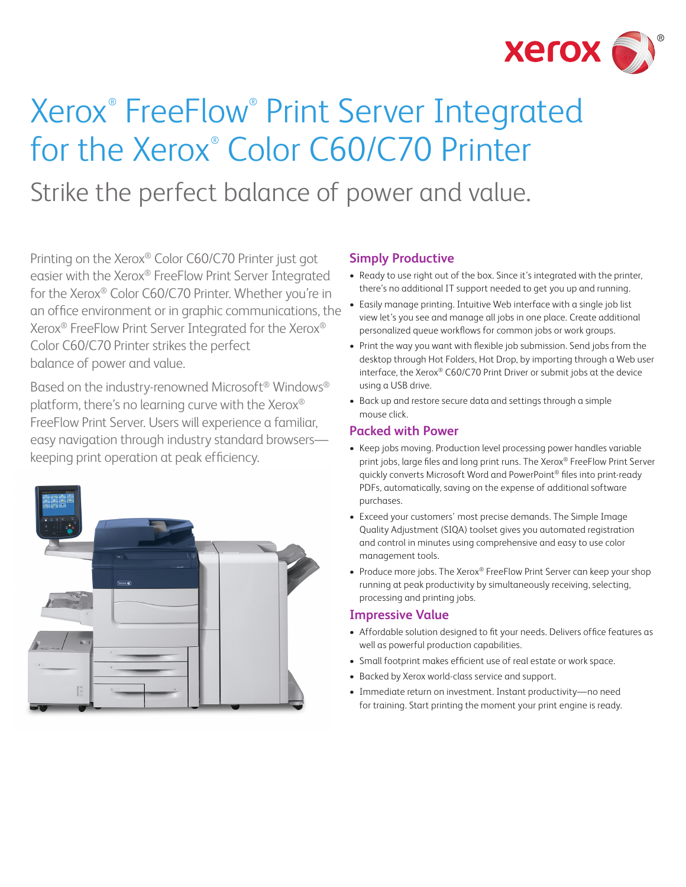

# Xerox® FreeFlow® Print Server Integrated for the Xerox® Color C60/C70 Printer Strike the perfect balance of power and value.

Printing on the Xerox® Color C60/C70 Printer just got easier with the Xerox® FreeFlow Print Server Integrated for the Xerox® Color C60/C70 Printer. Whether you're in an office environment or in graphic communications, the Xerox® FreeFlow Print Server Integrated for the Xerox® Color C60/C70 Printer strikes the perfect balance of power and value.

Based on the industry-renowned Microsoft® Windows® platform, there's no learning curve with the Xerox® FreeFlow Print Server. Users will experience a familiar, easy navigation through industry standard browsers keeping print operation at peak efficiency.



### **Simply Productive**

- Ready to use right out of the box. Since it's integrated with the printer, there's no additional IT support needed to get you up and running.
- Easily manage printing. Intuitive Web interface with a single job list view let's you see and manage all jobs in one place. Create additional personalized queue workflows for common jobs or work groups.
- Print the way you want with flexible job submission. Send jobs from the desktop through Hot Folders, Hot Drop, by importing through a Web user interface, the Xerox® C60/C70 Print Driver or submit jobs at the device using a USB drive.
- • Back up and restore secure data and settings through a simple mouse click.

#### **Packed with Power**

- Keep jobs moving. Production level processing power handles variable print jobs, large files and long print runs. The Xerox® FreeFlow Print Server quickly converts Microsoft Word and PowerPoint® files into print-ready PDFs, automatically, saving on the expense of additional software purchases.
- Exceed your customers' most precise demands. The Simple Image Quality Adjustment (SIQA) toolset gives you automated registration and control in minutes using comprehensive and easy to use color management tools.
- Produce more jobs. The Xerox® FreeFlow Print Server can keep your shop running at peak productivity by simultaneously receiving, selecting, processing and printing jobs.

#### **Impressive Value**

- Affordable solution designed to fit your needs. Delivers office features as well as powerful production capabilities.
- Small footprint makes efficient use of real estate or work space.
- Backed by Xerox world-class service and support.
- Immediate return on investment. Instant productivity-no need for training. Start printing the moment your print engine is ready.